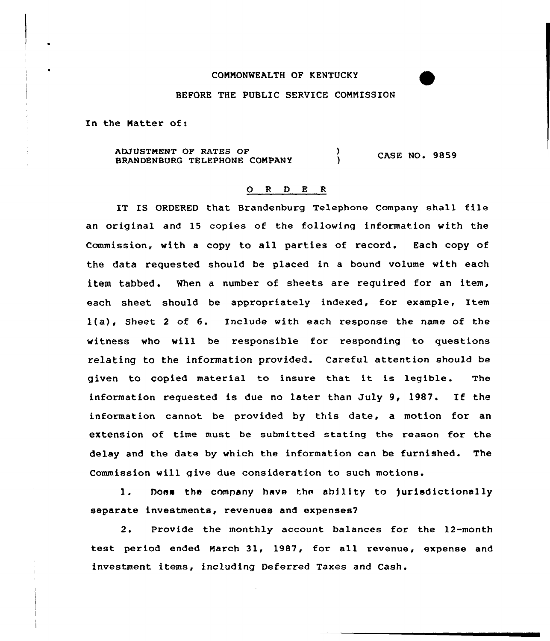## COMMONWEALTH OF KENTUCKY

## BEFORE THE PUBLIC SERVICE CONNISSION

In the Natter of:

ADJUSTNENT OF RATES OF ADJUSTMENT OF RATES OF (2008)<br>BRANDENBURG TELEPHONE COMPANY (2008) CASE NO. 9859

## 0 <sup>R</sup> <sup>D</sup> E <sup>R</sup>

IT IS ORDERED that Brandenburg Telephone Company shall file an original and 15 copies of the following information with the Commission, with a copy to all parties of record. Each copy of the data requested should be placed in a bound volume with each item tabbed. When a number of sheets are required for an item, each sheet should be appxopxiately indexed, for example, Item l(a), Sheet <sup>2</sup> of 6. Include with each response the name of the witness who will be responsible for responding to questions relating to the information provided. Careful attention should be given to copied material to insure that it is legible. The information requested is due no latex than July 9, l987. If the information cannot be provided by this date, a motion for an extension of time must be submitted stating the reason for the delay and the date by which the information can be furnished. The Commission will give due consideration to such motions.

hoes the company have the ability to jurisdictionally 1. separate investments, revenues and expenses?

2. Provide the monthly account balances for the 12-month test period ended March 31, 1987, for all revenue, expense and investment items, including Deferred Taxes and Cash.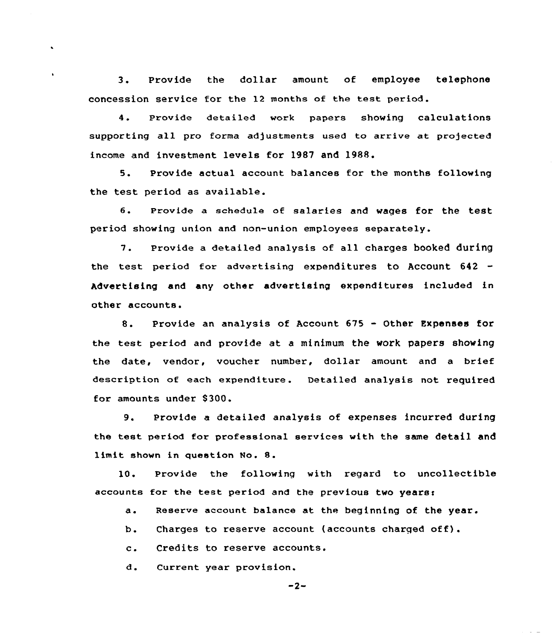3. Provide the dollar amount of employee telephon concession service for the 12 months of the test period.

 $\ddot{\phantom{0}}$ 

4. Provide detailed work papers showing calculation supporting all pro forma adjustments used to arrive at projected income and investment levels for 1987 and 1988.

5. Provide actual account balances for the months following the test period as available.

6. Provide <sup>a</sup> schedule of salaries and wages for the test period showing union and non-union employees separately.

7. Provide <sup>a</sup> detailed analysis of all charges booked during the test period for advertising expenditures to Account 642 Advertising and any other advertising expenditures included in other accounts.

8. Provide an analysis of Account <sup>675</sup> - Other Expenses for the test period and provide at a minimum the work papers showing the date, vendor, vouchex number, dollar amount and a brief description of each expenditure. Detailed analysis not required for amounts under 8300.

9. Provide <sup>a</sup> detailed analysis of expenses incurred during the test period for professional services with the same detail and limit shown in question No. 8.

10 Provide the following with regard to uncollectible accounts for the test period and the previous two years:

a ~ Reserve account balance at the beginning of the year.

Charges to reserve account (accounts charged off).  $b$ .

 $c_{\star}$ Credits to reserve accounts.

 $\mathbf d$ . Current year provision.

$$
-2-
$$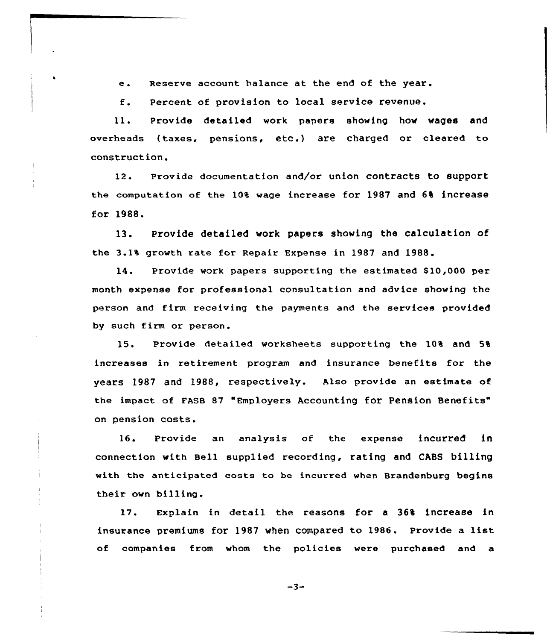e. Reserve account balance at the end of the year.

f. Percent of provision to )ocal service revenue.

ll. Provide detailed work papers showing how wages and overheads (taxes, pensions, etc.) are charged or cleared to construction.

12. provide documentation and/or union contracts to support the computation of the 10% wage increase for 1987 and 6% increase for 1988.

13. Provide detailed work papers showing the calculation of the 3.1% growth rate for Repair Expense in 1987 and 1988.

14. Provide work papers supporting the estimated \$10,000 per month expense for professional consultation and advice showing the person and firm receiving the payments and the services provided by such firm or person.

15. Provide detailed worksheets supporting the 10% and 5% increases in retirement program and insurance benefits for the years 1987 and 1988, respectively. Also provide an estimate of the impact of FASB 87 "Employers Accounting for Pension Benefits" on pension costs.

16. Provide an analysis of the expense incurred in connection with Bell supplied recording, rating and CABS billing with the anticipated costs to be incurred when Brandenburg begins their own billing.

17. Explain in detail the reasons for a 36% increase in insurance premiums for 1987 when compared to 1986. Provide <sup>a</sup> list of companies from whom the policies were purchased and a

 $-3-$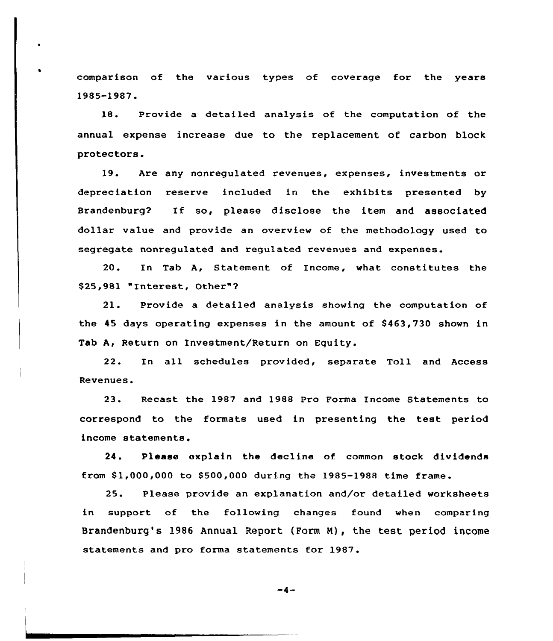comparison of the various types of coverage for the years 1985-1987.

18. Provide a detailed analysis of the computation of the annual expense increase due to the replacement of carbon block protectors.

19. Are any nonregulated revenues, expenses, investments or depreciation reserve included in the exhibits presented by Brandenburg? If so, please disclose the item and associated dollar value and provide an overview of the methodology used to segregate nonregulated and regulated revenues and expenses.

20. In Tab A, Statement of Income, what constitutes the \$25,981 "Interest, Other"7

21. Provide a detailed analysis showing the computation af the 45 days operating expenses in the amount of \$463,730 shown in Tab A, Return on Investment/Return on Equity.

22. In all schedules provided, separate Toll and Access Revenues.

23. Recast the 1987 and 1988 Pro Forma Income Statements to correspond to the formats used in presenting the test period income statements.

24. Please explain the decline of common stock dividends from 81,000,000 to 8500,000 during the 1985-1988 time frame.

25. Please provide an explanation and/or detailed worksheets in support of the following changes found when comparing Brandenburg's 1986 Annual Report (Form N), the test period income statements and pro forma statements for 1987.

 $-4-$